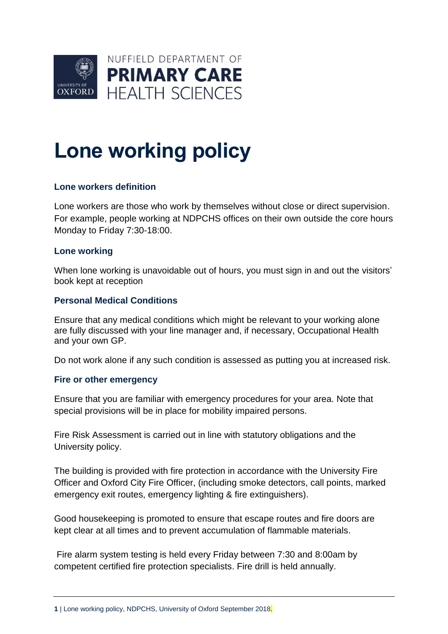

# **Lone working policy**

### **Lone workers definition**

Lone workers are those who work by themselves without close or direct supervision. For example, people working at NDPCHS offices on their own outside the core hours Monday to Friday 7:30-18:00.

#### **Lone working**

When lone working is unavoidable out of hours, you must sign in and out the visitors' book kept at reception

#### **Personal Medical Conditions**

Ensure that any medical conditions which might be relevant to your working alone are fully discussed with your line manager and, if necessary, Occupational Health and your own GP.

Do not work alone if any such condition is assessed as putting you at increased risk.

#### **Fire or other emergency**

Ensure that you are familiar with emergency procedures for your area. Note that special provisions will be in place for mobility impaired persons.

Fire Risk Assessment is carried out in line with statutory obligations and the University policy.

The building is provided with fire protection in accordance with the University Fire Officer and Oxford City Fire Officer, (including smoke detectors, call points, marked emergency exit routes, emergency lighting & fire extinguishers).

Good housekeeping is promoted to ensure that escape routes and fire doors are kept clear at all times and to prevent accumulation of flammable materials.

Fire alarm system testing is held every Friday between 7:30 and 8:00am by competent certified fire protection specialists. Fire drill is held annually.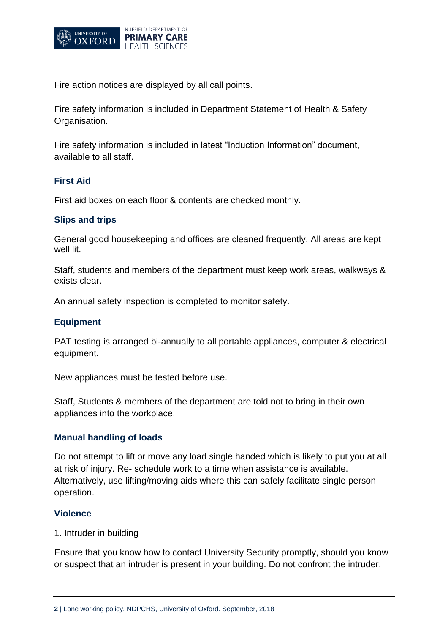

Fire action notices are displayed by all call points.

Fire safety information is included in Department Statement of Health & Safety Organisation.

Fire safety information is included in latest "Induction Information" document, available to all staff.

## **First Aid**

First aid boxes on each floor & contents are checked monthly.

#### **Slips and trips**

General good housekeeping and offices are cleaned frequently. All areas are kept well lit.

Staff, students and members of the department must keep work areas, walkways & exists clear.

An annual safety inspection is completed to monitor safety.

#### **Equipment**

PAT testing is arranged bi-annually to all portable appliances, computer & electrical equipment.

New appliances must be tested before use.

Staff, Students & members of the department are told not to bring in their own appliances into the workplace.

#### **Manual handling of loads**

Do not attempt to lift or move any load single handed which is likely to put you at all at risk of injury. Re- schedule work to a time when assistance is available. Alternatively, use lifting/moving aids where this can safely facilitate single person operation.

#### **Violence**

#### 1. Intruder in building

Ensure that you know how to contact University Security promptly, should you know or suspect that an intruder is present in your building. Do not confront the intruder,